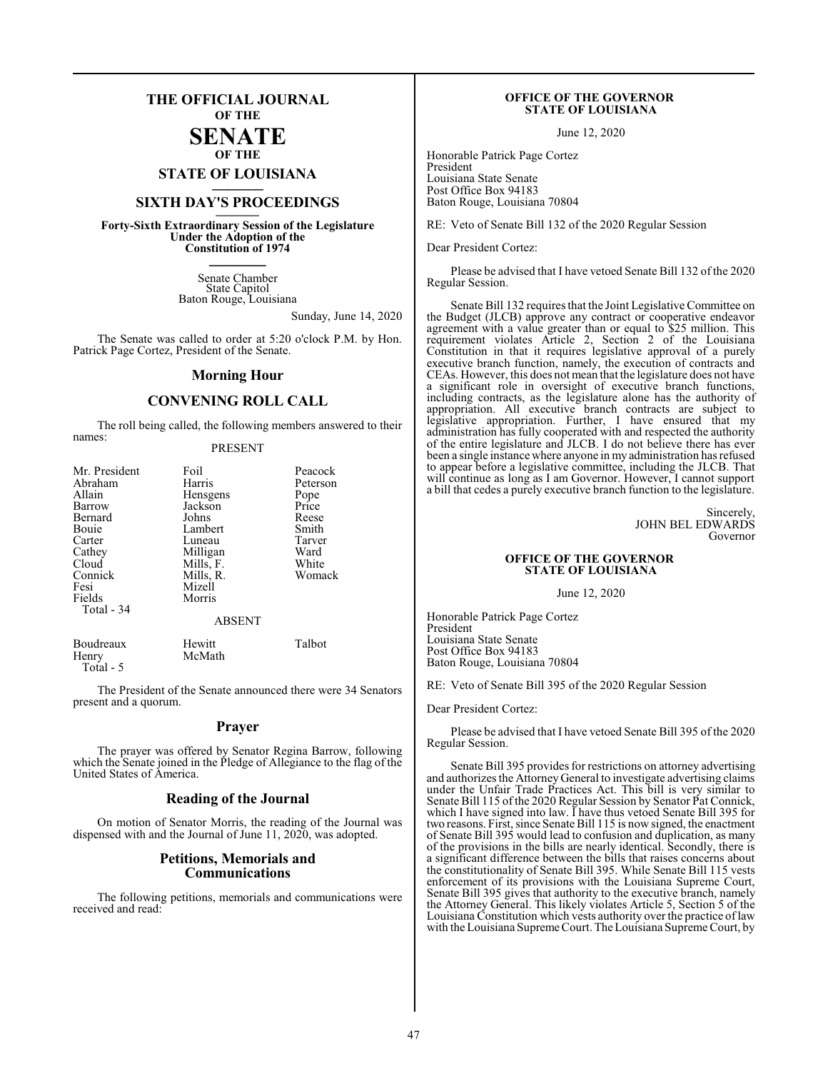## **THE OFFICIAL JOURNAL OF THE**

#### **SENATE OF THE**

**STATE OF LOUISIANA \_\_\_\_\_\_\_**

# **SIXTH DAY'S PROCEEDINGS \_\_\_\_\_\_\_**

**Forty-Sixth Extraordinary Session of the Legislature Under the Adoption of the Constitution of 1974 \_\_\_\_\_\_\_**

> Senate Chamber State Capitol Baton Rouge, Louisiana

> > Sunday, June 14, 2020

The Senate was called to order at 5:20 o'clock P.M. by Hon. Patrick Page Cortez, President of the Senate.

#### **Morning Hour**

### **CONVENING ROLL CALL**

The roll being called, the following members answered to their names:

#### PRESENT

| Mr. President | Foil          | Peacock  |
|---------------|---------------|----------|
| Abraham       | Harris        | Peterson |
| Allain        | Hensgens      | Pope     |
| Barrow        | Jackson       | Price    |
| Bernard       | Johns         | Reese    |
| Bouie         | Lambert       | Smith    |
| Carter        | Luneau        | Tarver   |
| Cathey        | Milligan      | Ward     |
| Cloud         | Mills, F.     | White    |
| Connick       | Mills, R.     | Womack   |
| Fesi          | Mizell        |          |
| Fields        | Morris        |          |
| Total - 34    |               |          |
|               | <b>ABSENT</b> |          |
| Boudreaux     | Hewitt        | Talbot   |

Total - 5

Henry McMath

The President of the Senate announced there were 34 Senators present and a quorum.

#### **Prayer**

The prayer was offered by Senator Regina Barrow, following which the Senate joined in the Pledge of Allegiance to the flag of the United States of America.

#### **Reading of the Journal**

On motion of Senator Morris, the reading of the Journal was dispensed with and the Journal of June 11, 2020, was adopted.

#### **Petitions, Memorials and Communications**

The following petitions, memorials and communications were received and read:

#### **OFFICE OF THE GOVERNOR STATE OF LOUISIANA**

June 12, 2020

Honorable Patrick Page Cortez President Louisiana State Senate Post Office Box 94183 Baton Rouge, Louisiana 70804

RE: Veto of Senate Bill 132 of the 2020 Regular Session

Dear President Cortez:

Please be advised that I have vetoed Senate Bill 132 of the 2020 Regular Session.

Senate Bill 132 requires that the Joint Legislative Committee on the Budget (JLCB) approve any contract or cooperative endeavor agreement with a value greater than or equal to \$25 million. This requirement violates Article 2, Section 2 of the Louisiana Constitution in that it requires legislative approval of a purely executive branch function, namely, the execution of contracts and CEAs. However, this does not mean that the legislature does not have a significant role in oversight of executive branch functions, including contracts, as the legislature alone has the authority of appropriation. All executive branch contracts are subject to legislative appropriation. Further, I have ensured that my administration has fully cooperated with and respected the authority of the entire legislature and JLCB. I do not believe there has ever been a single instance where anyone in my administration has refused to appear before a legislative committee, including the JLCB. That will continue as long as I am Governor. However, I cannot support a bill that cedes a purely executive branch function to the legislature.

> Sincerely, JOHN BEL EDWARDS Governor

#### **OFFICE OF THE GOVERNOR STATE OF LOUISIANA**

June 12, 2020

Honorable Patrick Page Cortez President Louisiana State Senate Post Office Box 94183 Baton Rouge, Louisiana 70804

RE: Veto of Senate Bill 395 of the 2020 Regular Session

Dear President Cortez:

Please be advised that I have vetoed Senate Bill 395 of the 2020 Regular Session.

Senate Bill 395 provides for restrictions on attorney advertising and authorizes the Attorney General to investigate advertising claims under the Unfair Trade Practices Act. This bill is very similar to Senate Bill 115 ofthe 2020 Regular Session by Senator Pat Connick, which I have signed into law. I have thus vetoed Senate Bill 395 for two reasons. First, since Senate Bill 115 is now signed, the enactment of Senate Bill 395 would lead to confusion and duplication, as many of the provisions in the bills are nearly identical. Secondly, there is a significant difference between the bills that raises concerns about the constitutionality of Senate Bill 395. While Senate Bill 115 vests enforcement of its provisions with the Louisiana Supreme Court, Senate Bill 395 gives that authority to the executive branch, namely the Attorney General. This likely violates Article 5, Section 5 of the Louisiana Constitution which vests authority over the practice of law with the Louisiana Supreme Court. The Louisiana Supreme Court, by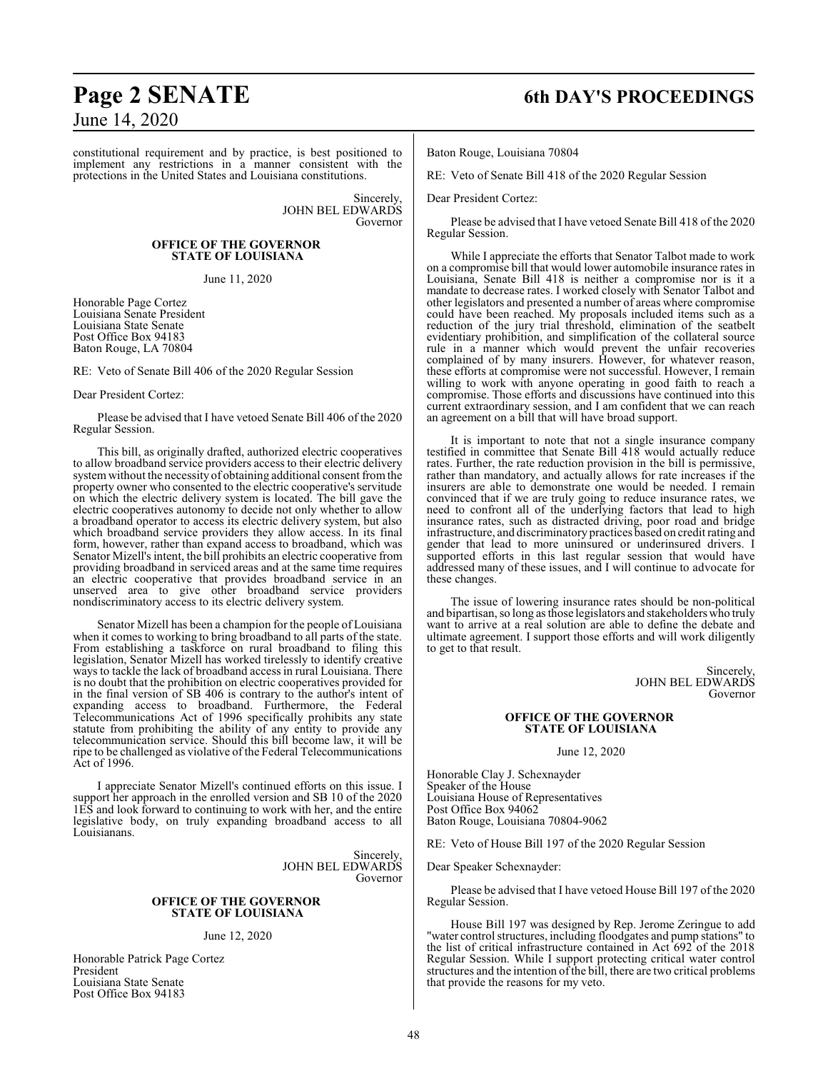# June 14, 2020

constitutional requirement and by practice, is best positioned to implement any restrictions in a manner consistent with the protections in the United States and Louisiana constitutions.

> Sincerely, JOHN BEL EDWARDS Governor

#### **OFFICE OF THE GOVERNOR STATE OF LOUISIANA**

June 11, 2020

Honorable Page Cortez Louisiana Senate President Louisiana State Senate Post Office Box 94183 Baton Rouge, LA 70804

RE: Veto of Senate Bill 406 of the 2020 Regular Session

Dear President Cortez:

Please be advised that I have vetoed Senate Bill 406 of the 2020 Regular Session.

This bill, as originally drafted, authorized electric cooperatives to allow broadband service providers access to their electric delivery systemwithout the necessity of obtaining additional consent fromthe property owner who consented to the electric cooperative's servitude on which the electric delivery system is located. The bill gave the electric cooperatives autonomy to decide not only whether to allow a broadband operator to access its electric delivery system, but also which broadband service providers they allow access. In its final form, however, rather than expand access to broadband, which was Senator Mizell's intent, the bill prohibits an electric cooperative from providing broadband in serviced areas and at the same time requires an electric cooperative that provides broadband service in an unserved area to give other broadband service providers nondiscriminatory access to its electric delivery system.

Senator Mizell has been a champion for the people of Louisiana when it comes to working to bring broadband to all parts of the state. From establishing a taskforce on rural broadband to filing this legislation, Senator Mizell has worked tirelessly to identify creative ways to tackle the lack of broadband access in rural Louisiana. There is no doubt that the prohibition on electric cooperatives provided for in the final version of SB 406 is contrary to the author's intent of expanding access to broadband. Furthermore, the Federal Telecommunications Act of 1996 specifically prohibits any state statute from prohibiting the ability of any entity to provide any telecommunication service. Should this bill become law, it will be ripe to be challenged as violative of the Federal Telecommunications Act of 1996.

I appreciate Senator Mizell's continued efforts on this issue. I support her approach in the enrolled version and SB 10 of the 2020 1ES and look forward to continuing to work with her, and the entire legislative body, on truly expanding broadband access to all Louisianans.

> Sincerely, JOHN BEL EDWARDS Governor

#### **OFFICE OF THE GOVERNOR STATE OF LOUISIANA**

#### June 12, 2020

Honorable Patrick Page Cortez President Louisiana State Senate Post Office Box 94183

# **Page 2 SENATE 6th DAY'S PROCEEDINGS**

Baton Rouge, Louisiana 70804

RE: Veto of Senate Bill 418 of the 2020 Regular Session

Dear President Cortez:

Please be advised that I have vetoed Senate Bill 418 of the 2020 Regular Session.

While I appreciate the efforts that Senator Talbot made to work on a compromise bill that would lower automobile insurance rates in Louisiana, Senate Bill 418 is neither a compromise nor is it a mandate to decrease rates. I worked closely with Senator Talbot and other legislators and presented a number of areas where compromise could have been reached. My proposals included items such as a reduction of the jury trial threshold, elimination of the seatbelt evidentiary prohibition, and simplification of the collateral source rule in a manner which would prevent the unfair recoveries complained of by many insurers. However, for whatever reason, these efforts at compromise were not successful. However, I remain willing to work with anyone operating in good faith to reach a compromise. Those efforts and discussions have continued into this current extraordinary session, and I am confident that we can reach an agreement on a bill that will have broad support.

It is important to note that not a single insurance company testified in committee that Senate Bill 418 would actually reduce rates. Further, the rate reduction provision in the bill is permissive, rather than mandatory, and actually allows for rate increases if the insurers are able to demonstrate one would be needed. I remain convinced that if we are truly going to reduce insurance rates, we need to confront all of the underlying factors that lead to high insurance rates, such as distracted driving, poor road and bridge infrastructure, and discriminatory practices based on credit rating and gender that lead to more uninsured or underinsured drivers. I supported efforts in this last regular session that would have addressed many of these issues, and I will continue to advocate for these changes.

The issue of lowering insurance rates should be non-political and bipartisan, so long as those legislators and stakeholders who truly want to arrive at a real solution are able to define the debate and ultimate agreement. I support those efforts and will work diligently to get to that result.

> Sincerely, JOHN BEL EDWARDS Governor

#### **OFFICE OF THE GOVERNOR STATE OF LOUISIANA**

June 12, 2020

Honorable Clay J. Schexnayder Speaker of the House Louisiana House of Representatives Post Office Box 94062 Baton Rouge, Louisiana 70804-9062

RE: Veto of House Bill 197 of the 2020 Regular Session

Dear Speaker Schexnayder:

Please be advised that I have vetoed House Bill 197 of the 2020 Regular Session.

House Bill 197 was designed by Rep. Jerome Zeringue to add "water control structures, including floodgates and pump stations" to the list of critical infrastructure contained in Act 692 of the 2018 Regular Session. While I support protecting critical water control structures and the intention of the bill, there are two critical problems that provide the reasons for my veto.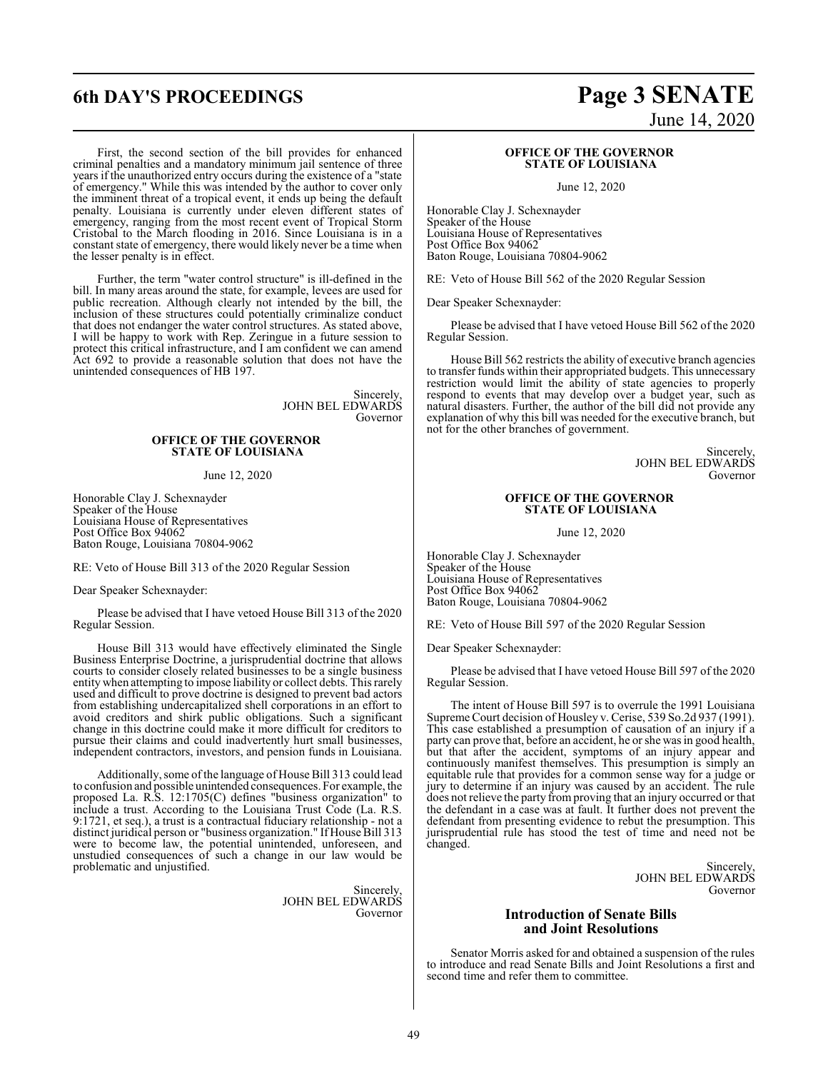#### First, the second section of the bill provides for enhanced criminal penalties and a mandatory minimum jail sentence of three years if the unauthorized entry occurs during the existence of a "state of emergency." While this was intended by the author to cover only the imminent threat of a tropical event, it ends up being the default penalty. Louisiana is currently under eleven different states of emergency, ranging from the most recent event of Tropical Storm Cristobal to the March flooding in 2016. Since Louisiana is in a constant state of emergency, there would likely never be a time when the lesser penalty is in effect.

Further, the term "water control structure" is ill-defined in the bill. In many areas around the state, for example, levees are used for public recreation. Although clearly not intended by the bill, the inclusion of these structures could potentially criminalize conduct that does not endanger the water control structures. As stated above, I will be happy to work with Rep. Zeringue in a future session to protect this critical infrastructure, and I am confident we can amend Act 692 to provide a reasonable solution that does not have the unintended consequences of HB 197.

> Sincerely, JOHN BEL EDWARDS Governor

#### **OFFICE OF THE GOVERNOR STATE OF LOUISIANA**

June 12, 2020

Honorable Clay J. Schexnayder Speaker of the House Louisiana House of Representatives Post Office Box 94062 Baton Rouge, Louisiana 70804-9062

RE: Veto of House Bill 313 of the 2020 Regular Session

Dear Speaker Schexnayder:

Please be advised that I have vetoed House Bill 313 of the 2020 Regular Session.

House Bill 313 would have effectively eliminated the Single Business Enterprise Doctrine, a jurisprudential doctrine that allows courts to consider closely related businesses to be a single business entity when attempting to impose liability or collect debts. This rarely used and difficult to prove doctrine is designed to prevent bad actors from establishing undercapitalized shell corporations in an effort to avoid creditors and shirk public obligations. Such a significant change in this doctrine could make it more difficult for creditors to pursue their claims and could inadvertently hurt small businesses, independent contractors, investors, and pension funds in Louisiana.

Additionally, some ofthe language of House Bill 313 could lead to confusion and possible unintended consequences. For example, the proposed La. R.S. 12:1705(C) defines "business organization" to include a trust. According to the Louisiana Trust Code (La. R.S. 9:1721, et seq.), a trust is a contractual fiduciary relationship - not a distinct juridical person or "business organization." If House Bill 313 were to become law, the potential unintended, unforeseen, and unstudied consequences of such a change in our law would be problematic and unjustified.

> Sincerely, JOHN BEL EDWARDS Governor

# **6th DAY'S PROCEEDINGS Page 3 SENATE** June 14, 2020

#### **OFFICE OF THE GOVERNOR STATE OF LOUISIANA**

June 12, 2020

Honorable Clay J. Schexnayder Speaker of the House Louisiana House of Representatives Post Office Box 94062 Baton Rouge, Louisiana 70804-9062

RE: Veto of House Bill 562 of the 2020 Regular Session

Dear Speaker Schexnayder:

Please be advised that I have vetoed House Bill 562 of the 2020 Regular Session.

House Bill 562 restricts the ability of executive branch agencies to transfer funds within their appropriated budgets. This unnecessary restriction would limit the ability of state agencies to properly respond to events that may develop over a budget year, such as natural disasters. Further, the author of the bill did not provide any explanation of why this bill was needed for the executive branch, but not for the other branches of government.

> Sincerely, JOHN BEL EDWARDS Governor

#### **OFFICE OF THE GOVERNOR STATE OF LOUISIANA**

June 12, 2020

Honorable Clay J. Schexnayder Speaker of the House Louisiana House of Representatives Post Office Box 94062 Baton Rouge, Louisiana 70804-9062

RE: Veto of House Bill 597 of the 2020 Regular Session

Dear Speaker Schexnayder:

Please be advised that I have vetoed House Bill 597 of the 2020 Regular Session.

The intent of House Bill 597 is to overrule the 1991 Louisiana Supreme Court decision of Housley v. Cerise, 539 So.2d 937 (1991). This case established a presumption of causation of an injury if a party can prove that, before an accident, he or she was in good health, but that after the accident, symptoms of an injury appear and continuously manifest themselves. This presumption is simply an equitable rule that provides for a common sense way for a judge or jury to determine if an injury was caused by an accident. The rule does not relieve the party fromproving that an injury occurred or that the defendant in a case was at fault. It further does not prevent the defendant from presenting evidence to rebut the presumption. This jurisprudential rule has stood the test of time and need not be changed.

> Sincerely, JOHN BEL EDWARDS Governor

#### **Introduction of Senate Bills and Joint Resolutions**

Senator Morris asked for and obtained a suspension of the rules to introduce and read Senate Bills and Joint Resolutions a first and second time and refer them to committee.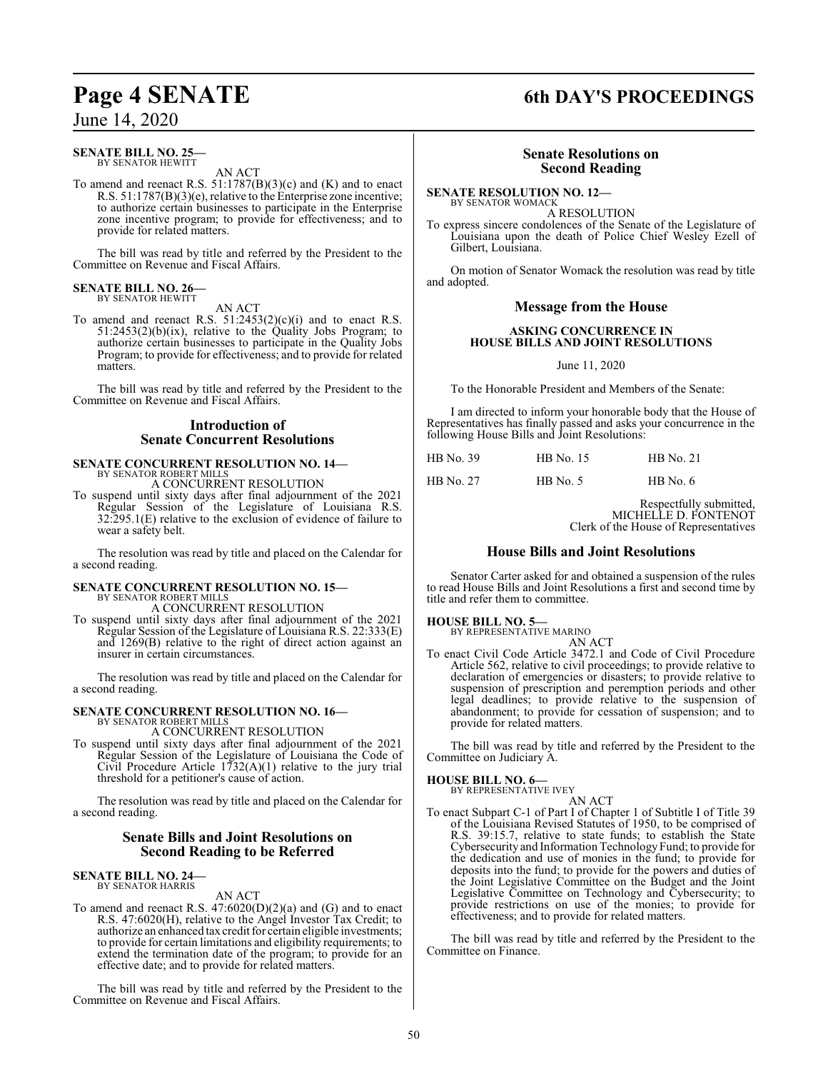## June 14, 2020

#### **SENATE BILL NO. 25—** BY SENATOR HEWITT

AN ACT

To amend and reenact R.S. 51:1787(B)(3)(c) and (K) and to enact R.S. 51:1787(B)(3)(e), relative to the Enterprise zone incentive; to authorize certain businesses to participate in the Enterprise zone incentive program; to provide for effectiveness; and to provide for related matters.

The bill was read by title and referred by the President to the Committee on Revenue and Fiscal Affairs.

#### **SENATE BILL NO. 26—** BY SENATOR HEWITT

AN ACT

To amend and reenact R.S.  $51:2453(2)(c)(i)$  and to enact R.S.  $51:2453(2)(b)(ix)$ , relative to the Quality Jobs Program; to authorize certain businesses to participate in the Quality Jobs Program; to provide for effectiveness; and to provide for related matters.

The bill was read by title and referred by the President to the Committee on Revenue and Fiscal Affairs.

## **Introduction of Senate Concurrent Resolutions**

#### **SENATE CONCURRENT RESOLUTION NO. 14—** BY SENATOR ROBERT MILLS A CONCURRENT RESOLUTION

To suspend until sixty days after final adjournment of the 2021 Regular Session of the Legislature of Louisiana R.S. 32:295.1(E) relative to the exclusion of evidence of failure to wear a safety belt.

The resolution was read by title and placed on the Calendar for a second reading.

## **SENATE CONCURRENT RESOLUTION NO. 15—** BY SENATOR ROBERT MILLS A CONCURRENT RESOLUTION

To suspend until sixty days after final adjournment of the 2021 Regular Session of the Legislature of Louisiana R.S. 22:333(E) and 1269(B) relative to the right of direct action against an insurer in certain circumstances.

The resolution was read by title and placed on the Calendar for a second reading.

# **SENATE CONCURRENT RESOLUTION NO. 16—** BY SENATOR ROBERT MILLS

A CONCURRENT RESOLUTION

To suspend until sixty days after final adjournment of the 2021 Regular Session of the Legislature of Louisiana the Code of Civil Procedure Article  $1732(A)(1)$  relative to the jury trial threshold for a petitioner's cause of action.

The resolution was read by title and placed on the Calendar for a second reading.

#### **Senate Bills and Joint Resolutions on Second Reading to be Referred**

# **SENATE BILL NO. 24—** BY SENATOR HARRIS

AN ACT

To amend and reenact R.S.  $47:6020(D)(2)(a)$  and  $(G)$  and to enact R.S. 47:6020(H), relative to the Angel Investor Tax Credit; to authorize an enhanced tax credit for certain eligible investments; to provide for certain limitations and eligibility requirements; to extend the termination date of the program; to provide for an effective date; and to provide for related matters.

The bill was read by title and referred by the President to the Committee on Revenue and Fiscal Affairs.

# **Page 4 SENATE 6th DAY'S PROCEEDINGS**

### **Senate Resolutions on Second Reading**

**SENATE RESOLUTION NO. 12—** BY SENATOR WOMACK

A RESOLUTION

To express sincere condolences of the Senate of the Legislature of Louisiana upon the death of Police Chief Wesley Ezell of Gilbert, Louisiana.

On motion of Senator Womack the resolution was read by title and adopted.

#### **Message from the House**

#### **ASKING CONCURRENCE IN HOUSE BILLS AND JOINT RESOLUTIONS**

June 11, 2020

To the Honorable President and Members of the Senate:

I am directed to inform your honorable body that the House of Representatives has finally passed and asks your concurrence in the following House Bills and Joint Resolutions:

| HB No. 39 | <b>HB</b> No. 15 | $HB$ No. 21 |
|-----------|------------------|-------------|
| HB No. 27 | $HB$ No. 5       | HB No. $6$  |

Respectfully submitted, MICHELLE D. FONTENOT Clerk of the House of Representatives

### **House Bills and Joint Resolutions**

Senator Carter asked for and obtained a suspension of the rules to read House Bills and Joint Resolutions a first and second time by title and refer them to committee.

# **HOUSE BILL NO. 5—** BY REPRESENTATIVE MARINO

AN ACT

To enact Civil Code Article 3472.1 and Code of Civil Procedure Article 562, relative to civil proceedings; to provide relative to declaration of emergencies or disasters; to provide relative to suspension of prescription and peremption periods and other legal deadlines; to provide relative to the suspension of abandonment; to provide for cessation of suspension; and to provide for related matters.

The bill was read by title and referred by the President to the Committee on Judiciary A.

#### **HOUSE BILL NO. 6—**

BY REPRESENTATIVE IVEY

AN ACT To enact Subpart C-1 of Part I of Chapter 1 of Subtitle I of Title 39 of the Louisiana Revised Statutes of 1950, to be comprised of R.S. 39:15.7, relative to state funds; to establish the State Cybersecurity and Information TechnologyFund; to provide for the dedication and use of monies in the fund; to provide for deposits into the fund; to provide for the powers and duties of the Joint Legislative Committee on the Budget and the Joint Legislative Committee on Technology and Cybersecurity; to provide restrictions on use of the monies; to provide for effectiveness; and to provide for related matters.

The bill was read by title and referred by the President to the Committee on Finance.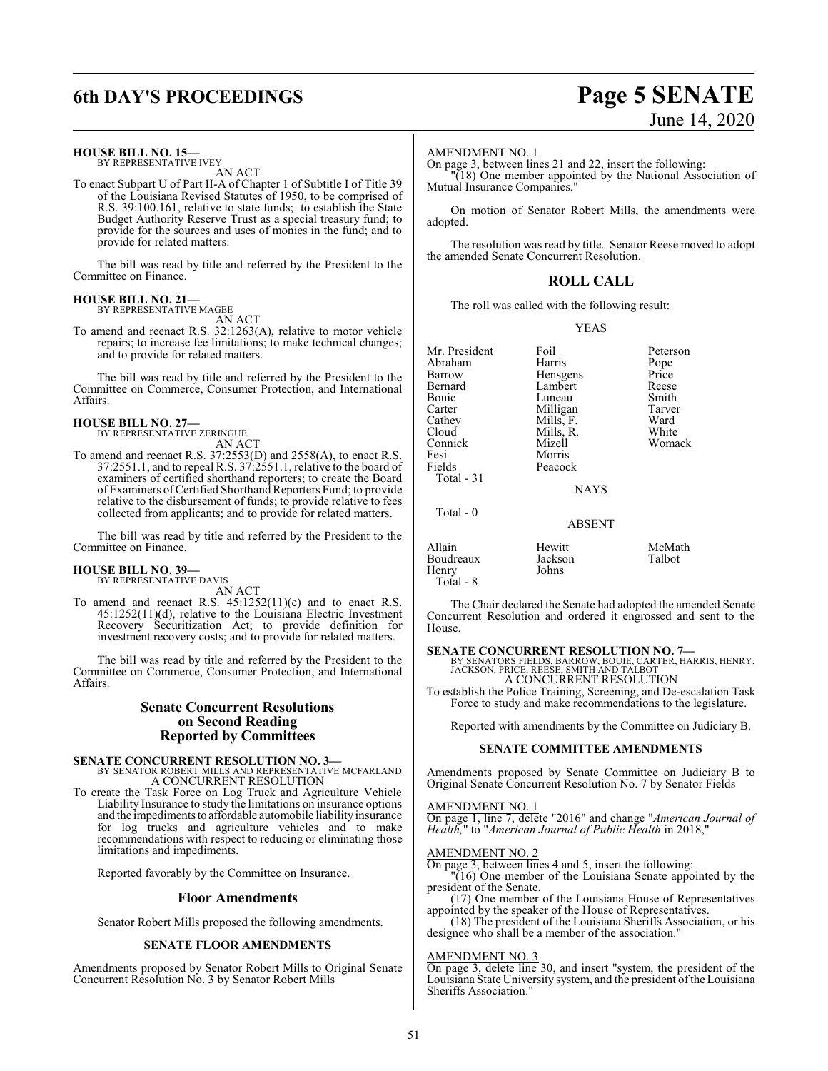# **6th DAY'S PROCEEDINGS Page 5 SENATE**

# June 14, 2020

#### **HOUSE BILL NO. 15—**

BY REPRESENTATIVE IVEY AN ACT

To enact Subpart U of Part II-A of Chapter 1 of Subtitle I of Title 39 of the Louisiana Revised Statutes of 1950, to be comprised of R.S. 39:100.161, relative to state funds; to establish the State Budget Authority Reserve Trust as a special treasury fund; to provide for the sources and uses of monies in the fund; and to provide for related matters.

The bill was read by title and referred by the President to the Committee on Finance.

#### **HOUSE BILL NO. 21—** BY REPRESENTATIVE MAGEE

AN ACT

To amend and reenact R.S. 32:1263(A), relative to motor vehicle repairs; to increase fee limitations; to make technical changes; and to provide for related matters.

The bill was read by title and referred by the President to the Committee on Commerce, Consumer Protection, and International Affairs.

#### **HOUSE BILL NO. 27—**

BY REPRESENTATIVE ZERINGUE

AN ACT To amend and reenact R.S. 37:2553(D) and 2558(A), to enact R.S. 37:2551.1, and to repeal R.S. 37:2551.1, relative to the board of examiners of certified shorthand reporters; to create the Board of Examiners ofCertified Shorthand Reporters Fund; to provide relative to the disbursement of funds; to provide relative to fees collected from applicants; and to provide for related matters.

The bill was read by title and referred by the President to the Committee on Finance.

#### **HOUSE BILL NO. 39—** BY REPRESENTATIVE DAVIS

AN ACT

To amend and reenact R.S. 45:1252(11)(c) and to enact R.S. 45:1252(11)(d), relative to the Louisiana Electric Investment Recovery Securitization Act; to provide definition for investment recovery costs; and to provide for related matters.

The bill was read by title and referred by the President to the Committee on Commerce, Consumer Protection, and International Affairs.

#### **Senate Concurrent Resolutions on Second Reading Reported by Committees**

**SENATE CONCURRENT RESOLUTION NO. 3—** BY SENATOR ROBERT MILLS AND REPRESENTATIVE MCFARLAND A CONCURRENT RESOLUTION

To create the Task Force on Log Truck and Agriculture Vehicle Liability Insurance to study the limitations on insurance options and the impediments to affordable automobile liability insurance for log trucks and agriculture vehicles and to make recommendations with respect to reducing or eliminating those limitations and impediments.

Reported favorably by the Committee on Insurance.

#### **Floor Amendments**

Senator Robert Mills proposed the following amendments.

#### **SENATE FLOOR AMENDMENTS**

Amendments proposed by Senator Robert Mills to Original Senate Concurrent Resolution No. 3 by Senator Robert Mills

#### AMENDMENT NO. 1

On page 3, between lines 21 and 22, insert the following:

"(18) One member appointed by the National Association of Mutual Insurance Companies."

On motion of Senator Robert Mills, the amendments were adopted.

The resolution was read by title. Senator Reese moved to adopt the amended Senate Concurrent Resolution.

#### **ROLL CALL**

The roll was called with the following result:

#### YEAS

| Mr. President | Foil          | Peterson |
|---------------|---------------|----------|
| Abraham       | Harris        | Pope     |
| Barrow        | Hensgens      | Price    |
| Bernard       | Lambert       | Reese    |
| Bouie         | Luneau        | Smith    |
| Carter        | Milligan      | Tarver   |
| Cathey        | Mills, F.     | Ward     |
| Cloud         | Mills, R.     | White    |
| Connick       | Mizell        | Womack   |
| Fesi          | Morris        |          |
| Fields        | Peacock       |          |
| Total - 31    |               |          |
|               | <b>NAYS</b>   |          |
| Total - 0     |               |          |
|               | <b>ABSENT</b> |          |
| Allain        | Hewitt        | McMath   |
| Boudreaux     | Jackson       | Talbot   |
| Henrv         | Johns         |          |

Total - 8

The Chair declared the Senate had adopted the amended Senate Concurrent Resolution and ordered it engrossed and sent to the House.

**SENATE CONCURRENT RESOLUTION NO. 7—**<br>BY SENATORS FIELDS, BARROW, BOUIE, CARTER, HARRIS, HENRY,<br>JACKSON, PRICE, REESE, SMITH AND TALBOT A CONCURRENT RESOLUTION

To establish the Police Training, Screening, and De-escalation Task Force to study and make recommendations to the legislature.

Reported with amendments by the Committee on Judiciary B.

#### **SENATE COMMITTEE AMENDMENTS**

Amendments proposed by Senate Committee on Judiciary B to Original Senate Concurrent Resolution No. 7 by Senator Fields

#### AMENDMENT NO. 1

On page 1, line 7, delete "2016" and change "*American Journal of Health,*" to "*American Journal of Public Health* in 2018,"

#### AMENDMENT NO. 2

On page 3, between lines 4 and 5, insert the following:

"(16) One member of the Louisiana Senate appointed by the president of the Senate.

(17) One member of the Louisiana House of Representatives appointed by the speaker of the House of Representatives.

(18) The president of the Louisiana Sheriffs Association, or his designee who shall be a member of the association."

#### AMENDMENT NO. 3

On page 3, delete line 30, and insert "system, the president of the Louisiana State University system, and the president ofthe Louisiana Sheriffs Association."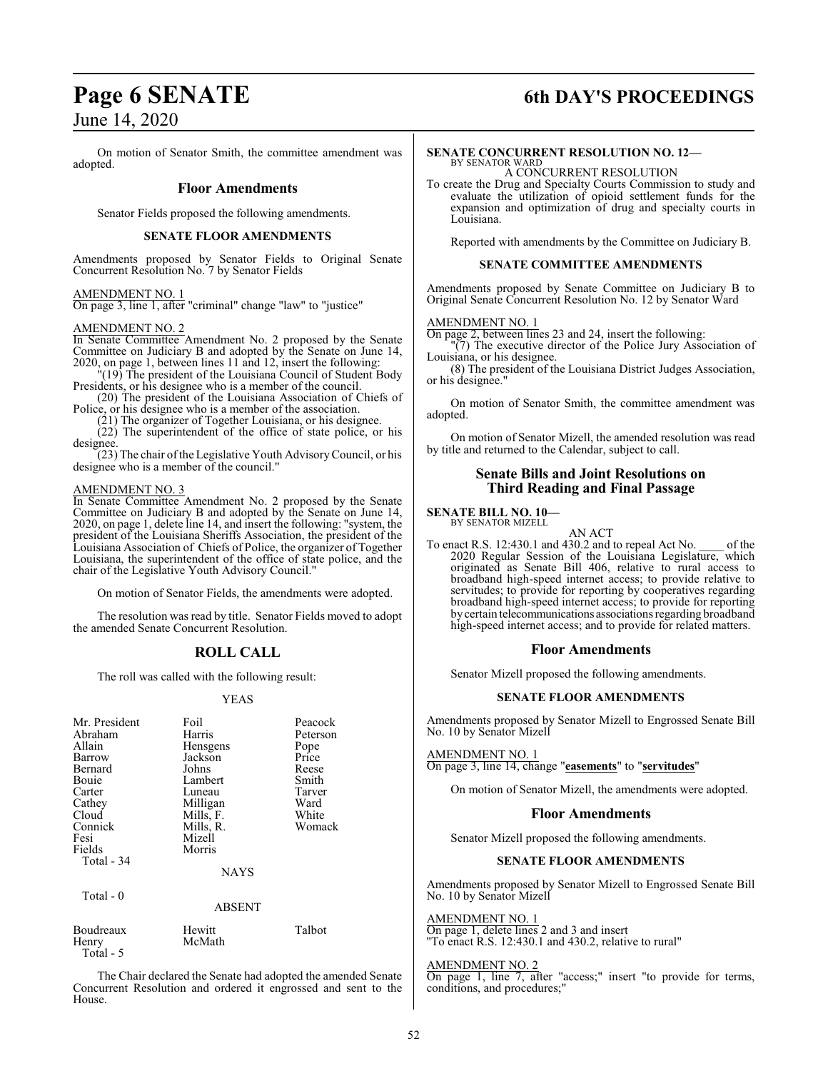# **Page 6 SENATE 6th DAY'S PROCEEDINGS**

June 14, 2020

On motion of Senator Smith, the committee amendment was adopted.

#### **Floor Amendments**

Senator Fields proposed the following amendments.

#### **SENATE FLOOR AMENDMENTS**

Amendments proposed by Senator Fields to Original Senate Concurrent Resolution No. 7 by Senator Fields

#### AMENDMENT NO. 1

On page 3, line 1, after "criminal" change "law" to "justice"

#### AMENDMENT NO. 2

In Senate Committee Amendment No. 2 proposed by the Senate Committee on Judiciary B and adopted by the Senate on June 14, 2020, on page 1, between lines 11 and 12, insert the following:

"(19) The president of the Louisiana Council of Student Body Presidents, or his designee who is a member of the council. (20) The president of the Louisiana Association of Chiefs of

Police, or his designee who is a member of the association.

(21) The organizer of Together Louisiana, or his designee.

 $(22)$  The superintendent of the office of state police, or his designee.

(23) The chair ofthe Legislative Youth AdvisoryCouncil, or his designee who is a member of the council."

#### AMENDMENT NO. 3

In Senate Committee Amendment No. 2 proposed by the Senate Committee on Judiciary B and adopted by the Senate on June 14, 2020, on page 1, delete line 14, and insert the following: "system, the president of the Louisiana Sheriffs Association, the president of the Louisiana Association of Chiefs of Police, the organizer of Together Louisiana, the superintendent of the office of state police, and the chair of the Legislative Youth Advisory Council."

On motion of Senator Fields, the amendments were adopted.

The resolution was read by title. Senator Fields moved to adopt the amended Senate Concurrent Resolution.

### **ROLL CALL**

The roll was called with the following result:

#### YEAS

| Mr. President<br>Abraham<br>Allain<br>Barrow<br>Bernard<br>Bouie<br>Carter<br>Cathey<br>Cloud<br>Connick<br>Fesi<br>Fields<br>Total - 34<br>Total - 0 | Foil<br>Harris<br>Hensgens<br>Jackson<br>Johns<br>Lambert<br>Luneau<br>Milligan<br>Mills, F.<br>Mills, R.<br>Mizell<br>Morris<br><b>NAYS</b><br><b>ABSENT</b> | Peacock<br>Peterson<br>Pope<br>Price<br>Reese<br>Smith<br>Tarver<br>Ward<br>White<br>Womack |
|-------------------------------------------------------------------------------------------------------------------------------------------------------|---------------------------------------------------------------------------------------------------------------------------------------------------------------|---------------------------------------------------------------------------------------------|
|                                                                                                                                                       |                                                                                                                                                               |                                                                                             |
| Boudreaux<br>Henry                                                                                                                                    | Hewitt<br>McMath                                                                                                                                              | Talbot                                                                                      |

Total - 5

The Chair declared the Senate had adopted the amended Senate Concurrent Resolution and ordered it engrossed and sent to the House.

## **SENATE CONCURRENT RESOLUTION NO. 12—**

BY SENATOR WARD A CONCURRENT RESOLUTION

To create the Drug and Specialty Courts Commission to study and evaluate the utilization of opioid settlement funds for the expansion and optimization of drug and specialty courts in Louisiana.

Reported with amendments by the Committee on Judiciary B.

#### **SENATE COMMITTEE AMENDMENTS**

Amendments proposed by Senate Committee on Judiciary B to Original Senate Concurrent Resolution No. 12 by Senator Ward

#### AMENDMENT NO. 1

On page 2, between lines 23 and 24, insert the following:

"(7) The executive director of the Police Jury Association of Louisiana, or his designee.

(8) The president of the Louisiana District Judges Association, or his designee."

On motion of Senator Smith, the committee amendment was adopted.

On motion of Senator Mizell, the amended resolution was read by title and returned to the Calendar, subject to call.

#### **Senate Bills and Joint Resolutions on Third Reading and Final Passage**

#### **SENATE BILL NO. 10—**

BY SENATOR MIZELL

AN ACT To enact R.S. 12:430.1 and 430.2 and to repeal Act No. \_\_\_\_ of the 2020 Regular Session of the Louisiana Legislature, which originated as Senate Bill 406, relative to rural access to broadband high-speed internet access; to provide relative to servitudes; to provide for reporting by cooperatives regarding broadband high-speed internet access; to provide for reporting bycertain telecommunications associations regarding broadband high-speed internet access; and to provide for related matters.

#### **Floor Amendments**

Senator Mizell proposed the following amendments.

#### **SENATE FLOOR AMENDMENTS**

Amendments proposed by Senator Mizell to Engrossed Senate Bill No. 10 by Senator Mizell

AMENDMENT NO. 1

On page 3, line 14, change "**easements**" to "**servitudes**"

On motion of Senator Mizell, the amendments were adopted.

#### **Floor Amendments**

Senator Mizell proposed the following amendments.

#### **SENATE FLOOR AMENDMENTS**

Amendments proposed by Senator Mizell to Engrossed Senate Bill No. 10 by Senator Mizell

AMENDMENT NO. 1

On page 1, delete lines 2 and 3 and insert "To enact R.S. 12:430.1 and 430.2, relative to rural"

#### AMENDMENT NO. 2

On page 1, line 7, after "access;" insert "to provide for terms, conditions, and procedures;"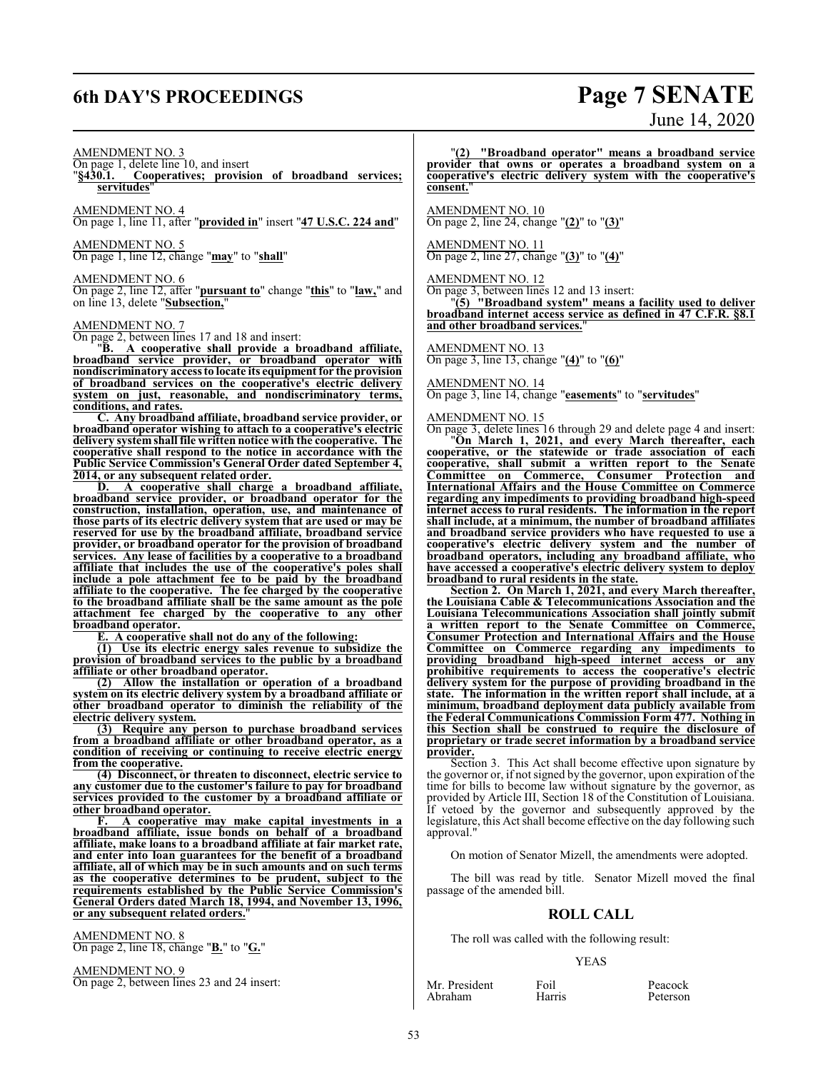# **6th DAY'S PROCEEDINGS Page 7 SENATE**

# June 14, 2020

#### AMENDMENT NO. 3

On page 1, delete line 10, and insert

"**§430.1. Cooperatives; provision of broadband services; servitudes**"

AMENDMENT NO. 4

On page 1, line 11, after "**provided in**" insert "**47 U.S.C. 224 and**"

AMENDMENT NO. 5

On page 1, line 12, change "**may**" to "**shall**"

#### AMENDMENT NO. 6

On page 2, line 12, after "**pursuant to**" change "**this**" to "**law,**" and on line 13, delete "**Subsection,**"

#### AMENDMENT NO. 7

On page 2, between lines 17 and 18 and insert:

"**B. A cooperative shall provide a broadband affiliate, broadband service provider, or broadband operator with nondiscriminatory access to locate its equipment for the provision of broadband services on the cooperative's electric delivery system on just, reasonable, and nondiscriminatory terms, conditions, and rates.**

**C. Any broadband affiliate, broadband service provider, or broadband operator wishing to attach to a cooperative's electric delivery systemshall file written notice with the cooperative. The cooperative shall respond to the notice in accordance with the Public Service Commission's General Order dated September 4, 2014, or any subsequent related order.**

**D. A cooperative shall charge a broadband affiliate, broadband service provider, or broadband operator for the construction, installation, operation, use, and maintenance of those parts of its electric delivery system that are used or may be reserved for use by the broadband affiliate, broadband service provider, or broadband operator for the provision of broadband services. Any lease of facilities by a cooperative to a broadband affiliate that includes the use of the cooperative's poles shall include a pole attachment fee to be paid by the broadband affiliate to the cooperative. The fee charged by the cooperative to the broadband affiliate shall be the same amount as the pole attachment fee charged by the cooperative to any other broadband operator.**

**E. A cooperative shall not do any of the following:**

**(1) Use its electric energy sales revenue to subsidize the provision of broadband services to the public by a broadband affiliate or other broadband operator.**

**(2) Allow the installation or operation of a broadband system on its electric delivery system by a broadband affiliate or other** broadband operator to diminish the reliability **electric delivery system.**

**(3) Require any person to purchase broadband services from a broadband affiliate or other broadband operator, as a condition of receiving or continuing to receive electric energy from the cooperative.**

**(4) Disconnect, or threaten to disconnect, electric service to any customer due to the customer's failure to pay for broadband services provided to the customer by a broadband affiliate or other broadband operator.**

**F. A cooperative may make capital investments in a broadband affiliate, issue bonds on behalf of a broadband affiliate, make loans to a broadband affiliate at fair market rate, and enter into loan guarantees for the benefit of a broadband affiliate, all of which may be in such amounts and on such terms as the cooperative determines to be prudent, subject to the requirements established by the Public Service Commission's General Orders dated March 18, 1994, and November 13, 1996, or any subsequent related orders.**"

AMENDMENT NO. 8 On page 2, line 18, change "**B.**" to "**G.**"

AMENDMENT NO. 9 On page 2, between lines 23 and 24 insert:

"**(2) "Broadband operator" means a broadband service provider that owns or operates a broadband system on a cooperative's electric delivery system with the cooperative's** consent.

AMENDMENT NO. 10 On page 2, line 24, change "**(2)**" to "**(3)**"

AMENDMENT NO. 11 On page 2, line 27, change "**(3)**" to "**(4)**"

AMENDMENT NO. 12

On page 3, between lines 12 and 13 insert:

"**(5) "Broadband system" means a facility used to deliver broadband internet access service as defined in 47 C.F.R. §8.1 and other broadband services.**"

AMENDMENT NO. 13 On page 3, line 13, change "**(4)**" to "**(6)**"

AMENDMENT NO. 14 On page 3, line 14, change "**easements**" to "**servitudes**"

#### AMENDMENT NO. 15

On page 3, delete lines 16 through 29 and delete page 4 and insert: "**On March 1, 2021, and every March thereafter, each cooperative, or the statewide or trade association of each cooperative, shall submit a written report to the Senate Committee on Commerce, Consumer Protection and International Affairs and the House Committee on Commerce regarding any impediments to providing broadband high-speed internet access to rural residents. The information in the report shall include, at a minimum, the number of broadband affiliates and broadband service providers who have requested to use a cooperative's electric delivery system and the number of broadband operators, including any broadband affiliate, who have accessed a cooperative's electric delivery system to deploy broadband to rural residents in the state.**

**Section 2. On March 1, 2021, and every March thereafter, the Louisiana Cable & Telecommunications Association and the Louisiana Telecommunications Association shall jointly submit a written report to the Senate Committee on Commerce, Consumer Protection and International Affairs and the House Committee on Commerce regarding any impediments to providing broadband high-speed internet access or any prohibitive requirements to access the cooperative's electric delivery system for the purpose of providing broadband in the state. The information in the written report shall include, at a minimum, broadband deployment data publicly available from the Federal Communications Commission Form 477. Nothing in this Section shall be construed to require the disclosure of proprietary or trade secret information by a broadband service provider.**

Section 3. This Act shall become effective upon signature by the governor or, if not signed by the governor, upon expiration of the time for bills to become law without signature by the governor, as provided by Article III, Section 18 of the Constitution of Louisiana. If vetoed by the governor and subsequently approved by the legislature, this Act shall become effective on the day following such approval."

On motion of Senator Mizell, the amendments were adopted.

The bill was read by title. Senator Mizell moved the final passage of the amended bill.

### **ROLL CALL**

The roll was called with the following result:

#### YEAS

Mr. President Foil Peacock<br>Abraham Harris Peterson Abraham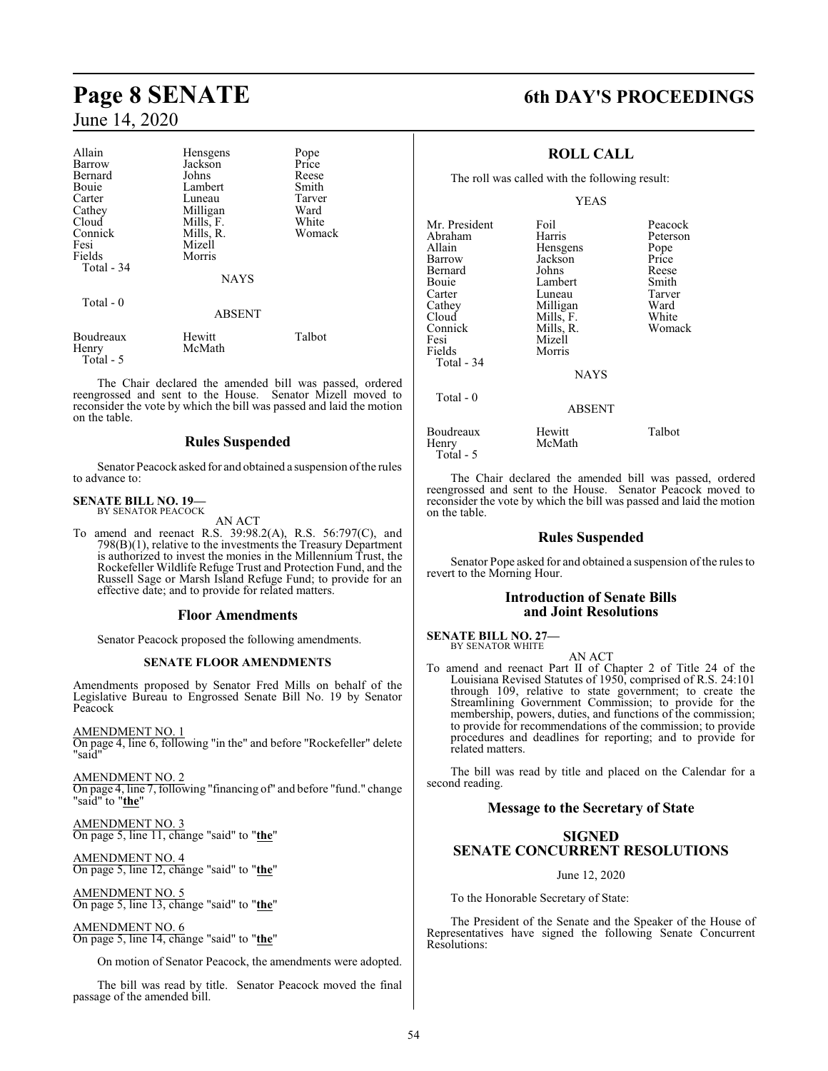# June 14, 2020

| Allain<br>Barrow<br>Bernard<br>Bouie<br>Carter<br>Cathey<br>Cloud<br>Connick<br>Fesi<br>Fields<br>Total - 34<br>Total - 0 | Hensgens<br>Jackson<br>Johns<br>Lambert<br>Luneau<br>Milligan<br>Mills, F.<br>Mills, R.<br>Mizell<br>Morris<br><b>NAYS</b><br><b>ABSENT</b> | Pope<br>Price<br>Reese<br>Smith<br>Tarver<br>Ward<br>White<br>Womack |
|---------------------------------------------------------------------------------------------------------------------------|---------------------------------------------------------------------------------------------------------------------------------------------|----------------------------------------------------------------------|
| Boudreaux<br>Henry                                                                                                        | Hewitt<br>McMath                                                                                                                            | Talbot                                                               |

The Chair declared the amended bill was passed, ordered reengrossed and sent to the House. Senator Mizell moved to reconsider the vote by which the bill was passed and laid the motion on the table.

#### **Rules Suspended**

Senator Peacock asked for and obtained a suspension ofthe rules to advance to:

# **SENATE BILL NO. 19—** BY SENATOR PEACOCK

Total - 5

AN ACT

To amend and reenact R.S. 39:98.2(A), R.S. 56:797(C), and 798(B)(1), relative to the investments the Treasury Department is authorized to invest the monies in the Millennium Trust, the Rockefeller Wildlife Refuge Trust and Protection Fund, and the Russell Sage or Marsh Island Refuge Fund; to provide for an effective date; and to provide for related matters.

#### **Floor Amendments**

Senator Peacock proposed the following amendments.

#### **SENATE FLOOR AMENDMENTS**

Amendments proposed by Senator Fred Mills on behalf of the Legislative Bureau to Engrossed Senate Bill No. 19 by Senator Peacock

AMENDMENT NO. 1 On page 4, line 6, following "in the" and before "Rockefeller" delete "said"

AMENDMENT NO. 2 On page 4, line 7, following "financing of" and before "fund." change "said" to "**the**"

AMENDMENT NO. 3 On page 5, line 11, change "said" to "**the**"

AMENDMENT NO. 4 On page 5, line 12, change "said" to "**the**"

AMENDMENT NO. 5 On page 5, line 13, change "said" to "**the**"

AMENDMENT NO. 6

On page 5, line 14, change "said" to "**the**"

On motion of Senator Peacock, the amendments were adopted.

The bill was read by title. Senator Peacock moved the final passage of the amended bill.

# **Page 8 SENATE 6th DAY'S PROCEEDINGS**

#### **ROLL CALL**

The roll was called with the following result:

YEAS

| Mr. President<br>Abraham<br>Allain<br>Barrow<br>Bernard<br>Bouie | Foil<br>Harris<br>Hensgens<br>Jackson<br>Johns<br>Lambert | Peacock<br>Peterson<br>Pope<br>Price<br>Reese<br>Smith |
|------------------------------------------------------------------|-----------------------------------------------------------|--------------------------------------------------------|
| Carter                                                           | Luneau                                                    | Tarver                                                 |
| Cathey                                                           | Milligan                                                  | Ward                                                   |
| Cloud                                                            | Mills, F.                                                 | White                                                  |
| Connick                                                          | Mills, R.                                                 | Womack                                                 |
| Fesi                                                             | Mizell                                                    |                                                        |
| Fields                                                           | Morris                                                    |                                                        |
| Total - 34                                                       |                                                           |                                                        |
|                                                                  | <b>NAYS</b>                                               |                                                        |
| Total $-0$                                                       |                                                           |                                                        |
|                                                                  | <b>ABSENT</b>                                             |                                                        |
| Boudreaux<br>Henry                                               | Hewitt<br>McMath                                          | Talbot                                                 |

The Chair declared the amended bill was passed, ordered reengrossed and sent to the House. Senator Peacock moved to reconsider the vote by which the bill was passed and laid the motion on the table.

#### **Rules Suspended**

Senator Pope asked for and obtained a suspension of the rules to revert to the Morning Hour.

#### **Introduction of Senate Bills and Joint Resolutions**

AN ACT

#### **SENATE BILL NO. 27—** BY SENATOR WHITE

Total - 5

To amend and reenact Part II of Chapter 2 of Title 24 of the Louisiana Revised Statutes of 1950, comprised of R.S. 24:101 through 109, relative to state government; to create the Streamlining Government Commission; to provide for the membership, powers, duties, and functions of the commission; to provide for recommendations of the commission; to provide procedures and deadlines for reporting; and to provide for related matters.

The bill was read by title and placed on the Calendar for a second reading.

#### **Message to the Secretary of State**

### **SIGNED SENATE CONCURRENT RESOLUTIONS**

June 12, 2020

To the Honorable Secretary of State:

The President of the Senate and the Speaker of the House of Representatives have signed the following Senate Concurrent Resolutions: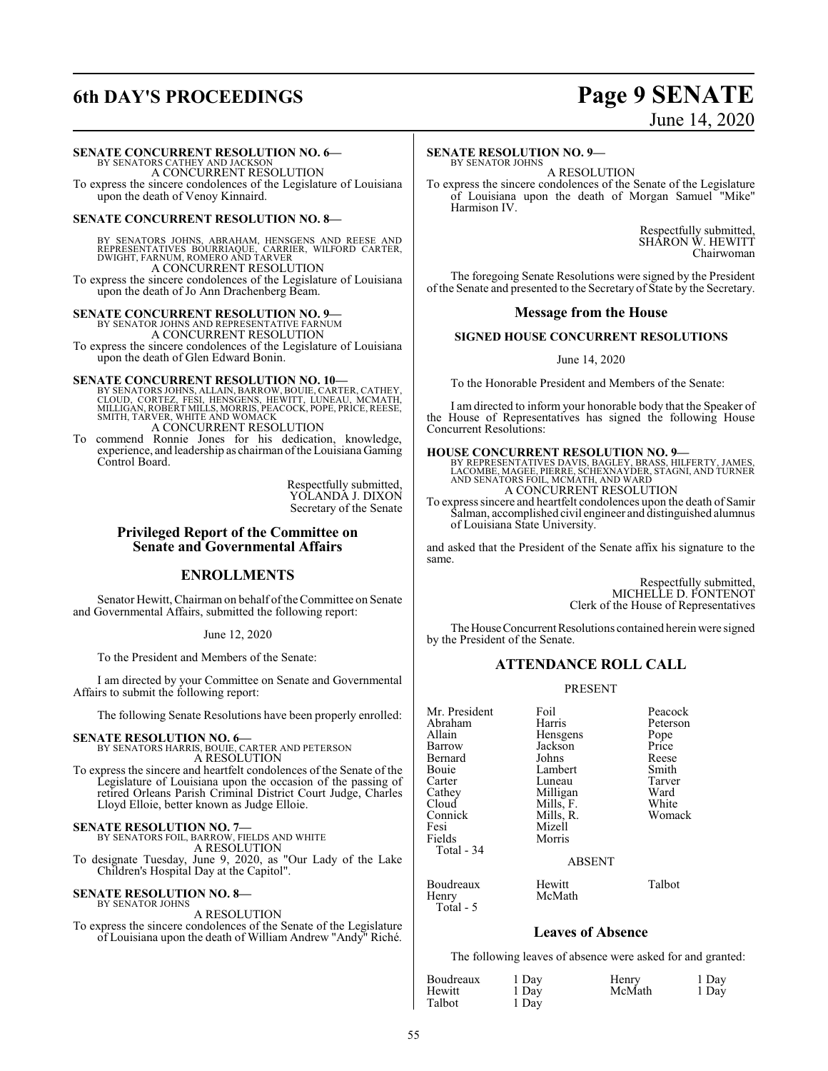# **6th DAY'S PROCEEDINGS Page 9 SENATE**

#### **SENATE CONCURRENT RESOLUTION NO. 6—**

BY SENATORS CATHEY AND JACKSON A CONCURRENT RESOLUTION To express the sincere condolences of the Legislature of Louisiana upon the death of Venoy Kinnaird.

#### **SENATE CONCURRENT RESOLUTION NO. 8—**

BY SENATORS JOHNS, ABRAHAM, HENSGENS AND REESE AND<br>REPRESENTATIVES BOURRIAQUE, CARRIER, WILFORD CARTER,<br>DWIGHT, FARNUM, ROMERO AND TARVER<br>A CONCURRENT RESOLUTION

To express the sincere condolences of the Legislature of Louisiana upon the death of Jo Ann Drachenberg Beam.

**SENATE CONCURRENT RESOLUTION NO. 9—** BY SENATOR JOHNS AND REPRESENTATIVE FARNUM

A CONCURRENT RESOLUTION To express the sincere condolences of the Legislature of Louisiana upon the death of Glen Edward Bonin.

**SENATE CONCURRENT RESOLUTION NO. 10—**<br>BY SENATORS JOHNS, ALLAIN, BARROW, BOUIE, CARTER, CATHEY, CLOUD, CORTEZ, FESI, HEWITT, LUNEAU, MCMATH,<br>MILLIGAN, ROBERT MILLS, MORRIS, PEACOCK, POPE, PRICE, REESE,<br>SMITH, TARVER, WHIT A CONCURRENT RESOLUTION

To commend Ronnie Jones for his dedication, knowledge, experience, and leadership as chairman ofthe Louisiana Gaming Control Board.

> Respectfully submitted, YOLANDA J. DIXON Secretary of the Senate

#### **Privileged Report of the Committee on Senate and Governmental Affairs**

#### **ENROLLMENTS**

Senator Hewitt, Chairman on behalf of the Committee on Senate and Governmental Affairs, submitted the following report:

#### June 12, 2020

To the President and Members of the Senate:

I am directed by your Committee on Senate and Governmental Affairs to submit the following report:

The following Senate Resolutions have been properly enrolled:

**SENATE RESOLUTION NO. 6—**<br>BY SENATORS HARRIS, BOUIE, CARTER AND PETERSON<br>A RESOLUTION

To express the sincere and heartfelt condolences of the Senate of the Legislature of Louisiana upon the occasion of the passing of retired Orleans Parish Criminal District Court Judge, Charles Lloyd Elloie, better known as Judge Elloie.

#### **SENATE RESOLUTION NO. 7—**

BY SENATORS FOIL, BARROW, FIELDS AND WHITE

A RESOLUTION

To designate Tuesday, June 9, 2020, as "Our Lady of the Lake Children's Hospital Day at the Capitol".

#### **SENATE RESOLUTION NO. 8—**

BY SENATOR JOHNS A RESOLUTION

To express the sincere condolences of the Senate of the Legislature of Louisiana upon the death of William Andrew "Andy" Riché.

# June 14, 2020

#### **SENATE RESOLUTION NO. 9—**

BY SENATOR JOHNS A RESOLUTION

To express the sincere condolences of the Senate of the Legislature of Louisiana upon the death of Morgan Samuel "Mike" Harmison IV.

> Respectfully submitted, SHARON W. HEWITT Chairwoman

The foregoing Senate Resolutions were signed by the President of the Senate and presented to the Secretary of State by the Secretary.

#### **Message from the House**

#### **SIGNED HOUSE CONCURRENT RESOLUTIONS**

June 14, 2020

To the Honorable President and Members of the Senate:

I am directed to inform your honorable body that the Speaker of the House of Representatives has signed the following House Concurrent Resolutions:

#### **HOUSE CONCURRENT RESOLUTION NO. 9—**

BY REPRESENTATIVES DAVIS, BAGLEY, BRASS, HILFERTY, JAMES,<br>LACOMBE, MAGEE, PIERRE, SCHEXNAYDER, STAGNI, AND TURNER<br>AND SENATORS FOIL, MCMATH, AND WARD<br>A CONCURRENT RESOLUTION

To express sincere and heartfelt condolences upon the death of Samir Salman, accomplished civil engineer and distinguished alumnus of Louisiana State University.

and asked that the President of the Senate affix his signature to the same.

> Respectfully submitted, MICHELLE D. FONTENOT Clerk of the House of Representatives

The House Concurrent Resolutions contained herein were signed by the President of the Senate.

#### **ATTENDANCE ROLL CALL**

#### PRESENT

| Mr. President<br>Abraham<br>Allain<br>Barrow<br>Bernard<br>Bouie<br>Carter<br>Cathey<br>Cloud<br>Connick<br>Fesi<br>Fields | Foil<br>Harris<br>Hensgens<br>Jackson<br>Johns<br>Lambert<br>Luneau<br>Milligan<br>Mills, F.<br>Mills, R.<br>Mizell<br>Morris | Peacock<br>Peterson<br>Pope<br>Price<br>Reese<br>Smith<br>Tarver<br>Ward<br>White<br>Womack |
|----------------------------------------------------------------------------------------------------------------------------|-------------------------------------------------------------------------------------------------------------------------------|---------------------------------------------------------------------------------------------|
| Total - 34                                                                                                                 | <b>ABSENT</b>                                                                                                                 |                                                                                             |
| Boudreaux                                                                                                                  | Hewitt                                                                                                                        | Talbot                                                                                      |
| Henry                                                                                                                      | McMath                                                                                                                        |                                                                                             |

McMath

### **Leaves of Absence**

The following leaves of absence were asked for and granted:

| Boudreaux | 1 Day | Henry  | 1 Day |
|-----------|-------|--------|-------|
| Hewitt    | 1 Day | McMath | 1 Day |
| Talbot    | 1 Day |        |       |

Total - 5